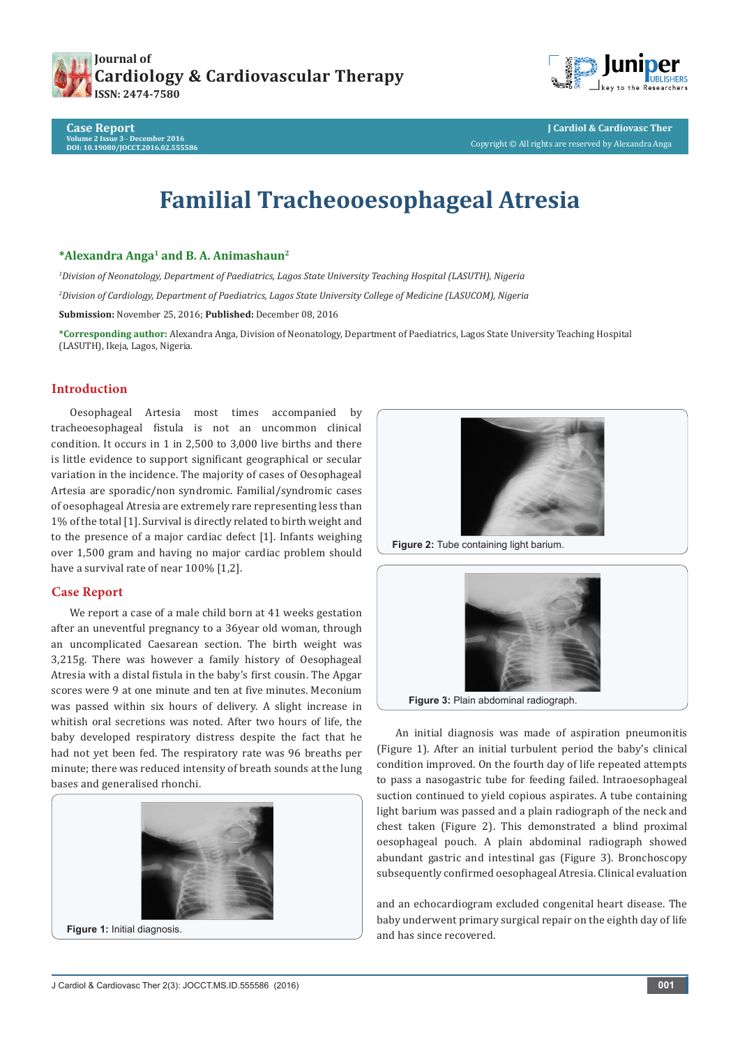



**Case Report Volume 2 Issue 3**- **December 2016 DOI: [10.19080/JOCCT.2016.02.555586](http://dx.doi.org/10.19080/JOCCT.2016.02.555586)**

# **Familial Tracheooesophageal Atresia**

# **\*Alexandra Anga1 and B. A. Animashaun2**

*1 Division of Neonatology, Department of Paediatrics, Lagos State University Teaching Hospital (LASUTH), Nigeria 2 Division of Cardiology, Department of Paediatrics, Lagos State University College of Medicine (LASUCOM), Nigeria* **Submission:** November 25, 2016; **Published:** December 08, 2016

**\*Corresponding author:** Alexandra Anga, Division of Neonatology, Department of Paediatrics, Lagos State University Teaching Hospital (LASUTH), Ikeja, Lagos, Nigeria.

## **Introduction**

Oesophageal Artesia most times accompanied by tracheoesophageal fistula is not an uncommon clinical condition. It occurs in 1 in 2,500 to 3,000 live births and there is little evidence to support significant geographical or secular variation in the incidence. The majority of cases of Oesophageal Artesia are sporadic/non syndromic. Familial/syndromic cases of oesophageal Atresia are extremely rare representing less than 1% of the total [1]. Survival is directly related to birth weight and to the presence of a major cardiac defect [1]. Infants weighing over 1,500 gram and having no major cardiac problem should have a survival rate of near 100% [1,2].

## **Case Report**

We report a case of a male child born at 41 weeks gestation after an uneventful pregnancy to a 36year old woman, through an uncomplicated Caesarean section. The birth weight was 3,215g. There was however a family history of Oesophageal Atresia with a distal fistula in the baby's first cousin. The Apgar scores were 9 at one minute and ten at five minutes. Meconium was passed within six hours of delivery. A slight increase in whitish oral secretions was noted. After two hours of life, the baby developed respiratory distress despite the fact that he had not yet been fed. The respiratory rate was 96 breaths per minute; there was reduced intensity of breath sounds at the lung bases and generalised rhonchi.





**Figure 2:** Tube containing light barium.



An initial diagnosis was made of aspiration pneumonitis (Figure 1). After an initial turbulent period the baby's clinical condition improved. On the fourth day of life repeated attempts to pass a nasogastric tube for feeding failed. Intraoesophageal suction continued to yield copious aspirates. A tube containing light barium was passed and a plain radiograph of the neck and chest taken (Figure 2). This demonstrated a blind proximal oesophageal pouch. A plain abdominal radiograph showed abundant gastric and intestinal gas (Figure 3). Bronchoscopy subsequently confirmed oesophageal Atresia. Clinical evaluation

and an echocardiogram excluded congenital heart disease. The baby underwent primary surgical repair on the eighth day of life and has since recovered.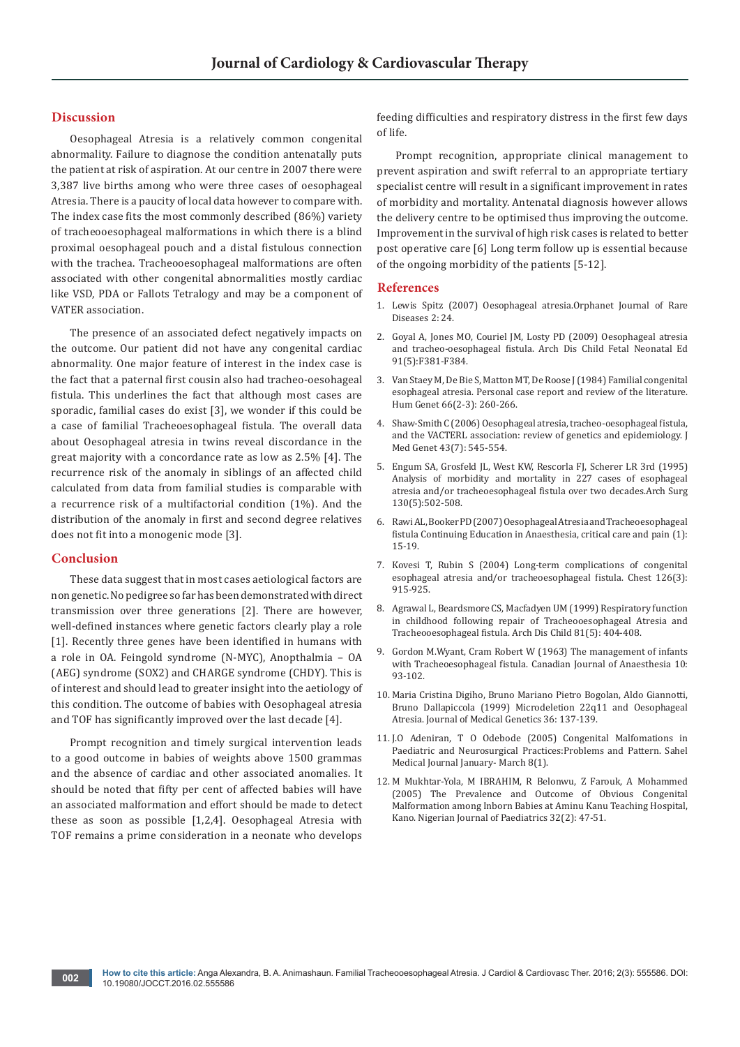### **Discussion**

Oesophageal Atresia is a relatively common congenital abnormality. Failure to diagnose the condition antenatally puts the patient at risk of aspiration. At our centre in 2007 there were 3,387 live births among who were three cases of oesophageal Atresia. There is a paucity of local data however to compare with. The index case fits the most commonly described (86%) variety of tracheooesophageal malformations in which there is a blind proximal oesophageal pouch and a distal fistulous connection with the trachea. Tracheooesophageal malformations are often associated with other congenital abnormalities mostly cardiac like VSD, PDA or Fallots Tetralogy and may be a component of VATER association.

The presence of an associated defect negatively impacts on the outcome. Our patient did not have any congenital cardiac abnormality. One major feature of interest in the index case is the fact that a paternal first cousin also had tracheo-oesohageal fistula. This underlines the fact that although most cases are sporadic, familial cases do exist [3], we wonder if this could be a case of familial Tracheoesophageal fistula. The overall data about Oesophageal atresia in twins reveal discordance in the great majority with a concordance rate as low as 2.5% [4]. The recurrence risk of the anomaly in siblings of an affected child calculated from data from familial studies is comparable with a recurrence risk of a multifactorial condition (1%). And the distribution of the anomaly in first and second degree relatives does not fit into a monogenic mode [3].

#### **Conclusion**

These data suggest that in most cases aetiological factors are non genetic. No pedigree so far has been demonstrated with direct transmission over three generations [2]. There are however, well-defined instances where genetic factors clearly play a role [1]. Recently three genes have been identified in humans with a role in OA. Feingold syndrome (N-MYC), Anopthalmia – OA (AEG) syndrome (SOX2) and CHARGE syndrome (CHDY). This is of interest and should lead to greater insight into the aetiology of this condition. The outcome of babies with Oesophageal atresia and TOF has significantly improved over the last decade [4].

Prompt recognition and timely surgical intervention leads to a good outcome in babies of weights above 1500 grammas and the absence of cardiac and other associated anomalies. It should be noted that fifty per cent of affected babies will have an associated malformation and effort should be made to detect these as soon as possible [1,2,4]. Oesophageal Atresia with TOF remains a prime consideration in a neonate who develops

feeding difficulties and respiratory distress in the first few days of life.

Prompt recognition, appropriate clinical management to prevent aspiration and swift referral to an appropriate tertiary specialist centre will result in a significant improvement in rates of morbidity and mortality. Antenatal diagnosis however allows the delivery centre to be optimised thus improving the outcome. Improvement in the survival of high risk cases is related to better post operative care [6] Long term follow up is essential because of the ongoing morbidity of the patients [5-12].

#### **References**

- 1. [Lewis Spitz \(2007\) Oesophageal atresia.Orphanet Journal of Rare](https://ojrd.biomedcentral.com/articles/10.1186/1750-1172-2-24)  [Diseases 2: 24.](https://ojrd.biomedcentral.com/articles/10.1186/1750-1172-2-24)
- 2. [Goyal A, Jones MO, Couriel JM, Losty PD \(2009\) Oesophageal atresia](https://www.ncbi.nlm.nih.gov/pubmed/16923940)  [and tracheo-oesophageal fistula. Arch Dis Child Fetal Neonatal Ed](https://www.ncbi.nlm.nih.gov/pubmed/16923940)  [91\(5\):F381-F384.](https://www.ncbi.nlm.nih.gov/pubmed/16923940)
- 3. [Van Staey M, De Bie S, Matton MT, De Roose J \(1984\) Familial congenital](https://www.ncbi.nlm.nih.gov/pubmed/6714984)  [esophageal atresia. Personal case report and review of the literature.](https://www.ncbi.nlm.nih.gov/pubmed/6714984) [Hum Genet 66\(2-3\): 260-266.](https://www.ncbi.nlm.nih.gov/pubmed/6714984)
- 4. [Shaw-Smith C \(2006\) Oesophageal atresia, tracheo-oesophageal fistula,](https://www.ncbi.nlm.nih.gov/pubmed/16299066)  [and the VACTERL association: review of genetics and epidemiology. J](https://www.ncbi.nlm.nih.gov/pubmed/16299066)  [Med Genet 43\(7\): 545-554.](https://www.ncbi.nlm.nih.gov/pubmed/16299066)
- 5. [Engum SA, Grosfeld JL, West KW, Rescorla FJ, Scherer LR 3rd \(1995\)](https://www.ncbi.nlm.nih.gov/pubmed/7748088) [Analysis of morbidity and mortality in 227 cases of esophageal](https://www.ncbi.nlm.nih.gov/pubmed/7748088)  [atresia and/or tracheoesophageal fistula over two decades.Arch Surg](https://www.ncbi.nlm.nih.gov/pubmed/7748088)  [130\(5\):502-508.](https://www.ncbi.nlm.nih.gov/pubmed/7748088)
- 6. Rawi AL, Booker PD (2007) Oesophageal Atresia and Tracheoesophageal fistula Continuing Education in Anaesthesia, critical care and pain (1): 15-19.
- 7. [Kovesi T, Rubin S \(2004\) Long-term complications of congenital](https://www.ncbi.nlm.nih.gov/pubmed/15364774)  [esophageal atresia and/or tracheoesophageal fistula. Chest 126\(3\):](https://www.ncbi.nlm.nih.gov/pubmed/15364774)  [915-925.](https://www.ncbi.nlm.nih.gov/pubmed/15364774)
- 8. [Agrawal L, Beardsmore CS, Macfadyen UM \(1999\) Respiratory function](https://www.ncbi.nlm.nih.gov/pubmed/10519713)  [in childhood following repair of Tracheooesophageal Atresia and](https://www.ncbi.nlm.nih.gov/pubmed/10519713)  [Tracheooesophageal fistula. Arch Dis Child 81\(5\): 404-408.](https://www.ncbi.nlm.nih.gov/pubmed/10519713)
- 9. Gordon M.Wyant, Cram Robert W (1963) The management of infants with Tracheoesophageal fistula. Canadian Journal of Anaesthesia 10: 93-102.
- 10. Maria Cristina Digiho, Bruno Mariano Pietro Bogolan, Aldo Giannotti, Bruno Dallapiccola (1999) Microdeletion 22q11 and Oesophageal Atresia. Journal of Medical Genetics 36: 137-139.
- 11. J.O Adeniran, T O Odebode (2005) Congenital Malfomations in Paediatric and Neurosurgical Practices:Problems and Pattern. Sahel Medical Journal January- March 8(1).
- 12. M Mukhtar-Yola, M IBRAHIM, R Belonwu, Z Farouk, A Mohammed (2005) The Prevalence and Outcome of Obvious Congenital Malformation among Inborn Babies at Aminu Kanu Teaching Hospital, Kano. Nigerian Journal of Paediatrics 32(2): 47-51.